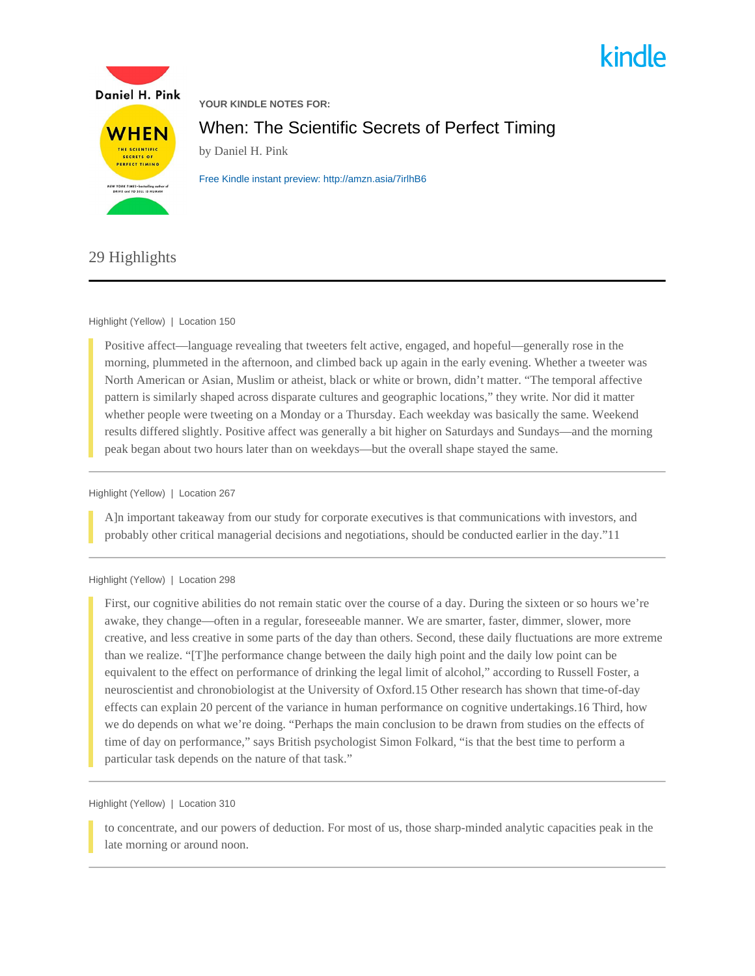

# 29 Highlights

#### Highlight (Yellow) | Location 150

Positive affect—language revealing that tweeters felt active, engaged, and hopeful—generally rose in the morning, plummeted in the afternoon, and climbed back up again in the early evening. Whether a tweeter was North American or Asian, Muslim or atheist, black or white or brown, didn't matter. "The temporal affective pattern is similarly shaped across disparate cultures and geographic locations," they write. Nor did it matter whether people were tweeting on a Monday or a Thursday. Each weekday was basically the same. Weekend results differed slightly. Positive affect was generally a bit higher on Saturdays and Sundays—and the morning peak began about two hours later than on weekdays—but the overall shape stayed the same.

### Highlight (Yellow) | Location 267

A]n important takeaway from our study for corporate executives is that communications with investors, and probably other critical managerial decisions and negotiations, should be conducted earlier in the day."11

### Highlight (Yellow) | Location 298

First, our cognitive abilities do not remain static over the course of a day. During the sixteen or so hours we're awake, they change—often in a regular, foreseeable manner. We are smarter, faster, dimmer, slower, more creative, and less creative in some parts of the day than others. Second, these daily fluctuations are more extreme than we realize. "[T]he performance change between the daily high point and the daily low point can be equivalent to the effect on performance of drinking the legal limit of alcohol," according to Russell Foster, a neuroscientist and chronobiologist at the University of Oxford.15 Other research has shown that time-of-day effects can explain 20 percent of the variance in human performance on cognitive undertakings.16 Third, how we do depends on what we're doing. "Perhaps the main conclusion to be drawn from studies on the effects of time of day on performance," says British psychologist Simon Folkard, "is that the best time to perform a particular task depends on the nature of that task."

#### Highlight (Yellow) | Location 310

to concentrate, and our powers of deduction. For most of us, those sharp-minded analytic capacities peak in the late morning or around noon.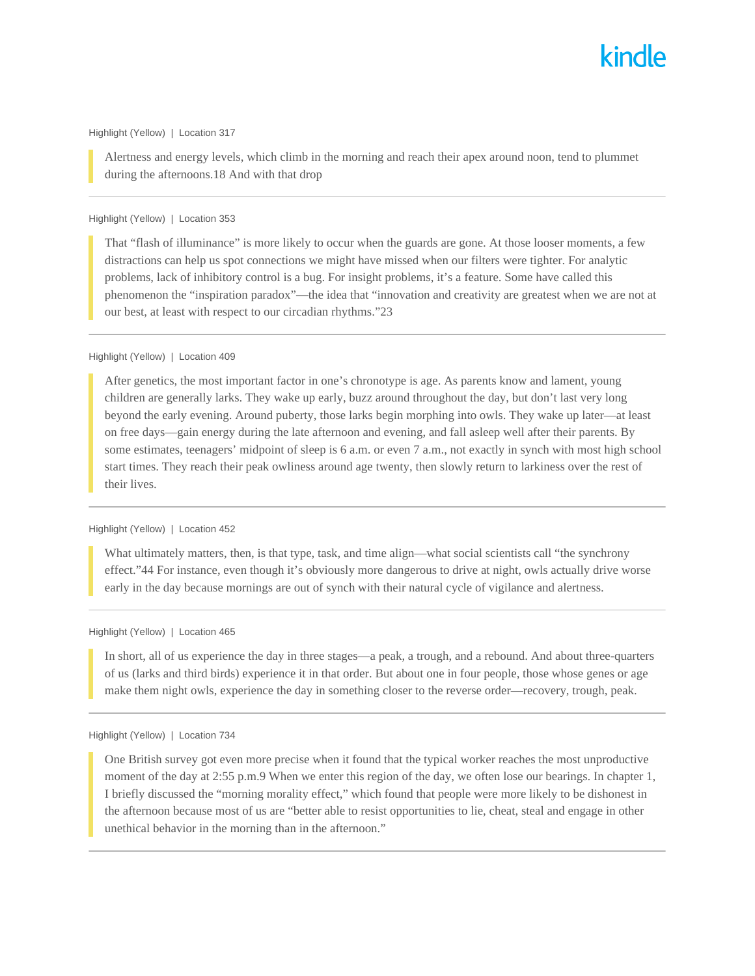#### Highlight (Yellow) | Location 317

Alertness and energy levels, which climb in the morning and reach their apex around noon, tend to plummet during the afternoons.18 And with that drop

#### Highlight (Yellow) | Location 353

That "flash of illuminance" is more likely to occur when the guards are gone. At those looser moments, a few distractions can help us spot connections we might have missed when our filters were tighter. For analytic problems, lack of inhibitory control is a bug. For insight problems, it's a feature. Some have called this phenomenon the "inspiration paradox"—the idea that "innovation and creativity are greatest when we are not at our best, at least with respect to our circadian rhythms."23

#### Highlight (Yellow) | Location 409

After genetics, the most important factor in one's chronotype is age. As parents know and lament, young children are generally larks. They wake up early, buzz around throughout the day, but don't last very long beyond the early evening. Around puberty, those larks begin morphing into owls. They wake up later—at least on free days—gain energy during the late afternoon and evening, and fall asleep well after their parents. By some estimates, teenagers' midpoint of sleep is 6 a.m. or even 7 a.m., not exactly in synch with most high school start times. They reach their peak owliness around age twenty, then slowly return to larkiness over the rest of their lives.

#### Highlight (Yellow) | Location 452

What ultimately matters, then, is that type, task, and time align—what social scientists call "the synchrony" effect."44 For instance, even though it's obviously more dangerous to drive at night, owls actually drive worse early in the day because mornings are out of synch with their natural cycle of vigilance and alertness.

# Highlight (Yellow) | Location 465

In short, all of us experience the day in three stages—a peak, a trough, and a rebound. And about three-quarters of us (larks and third birds) experience it in that order. But about one in four people, those whose genes or age make them night owls, experience the day in something closer to the reverse order—recovery, trough, peak.

#### Highlight (Yellow) | Location 734

One British survey got even more precise when it found that the typical worker reaches the most unproductive moment of the day at 2:55 p.m.9 When we enter this region of the day, we often lose our bearings. In chapter 1, I briefly discussed the "morning morality effect," which found that people were more likely to be dishonest in the afternoon because most of us are "better able to resist opportunities to lie, cheat, steal and engage in other unethical behavior in the morning than in the afternoon."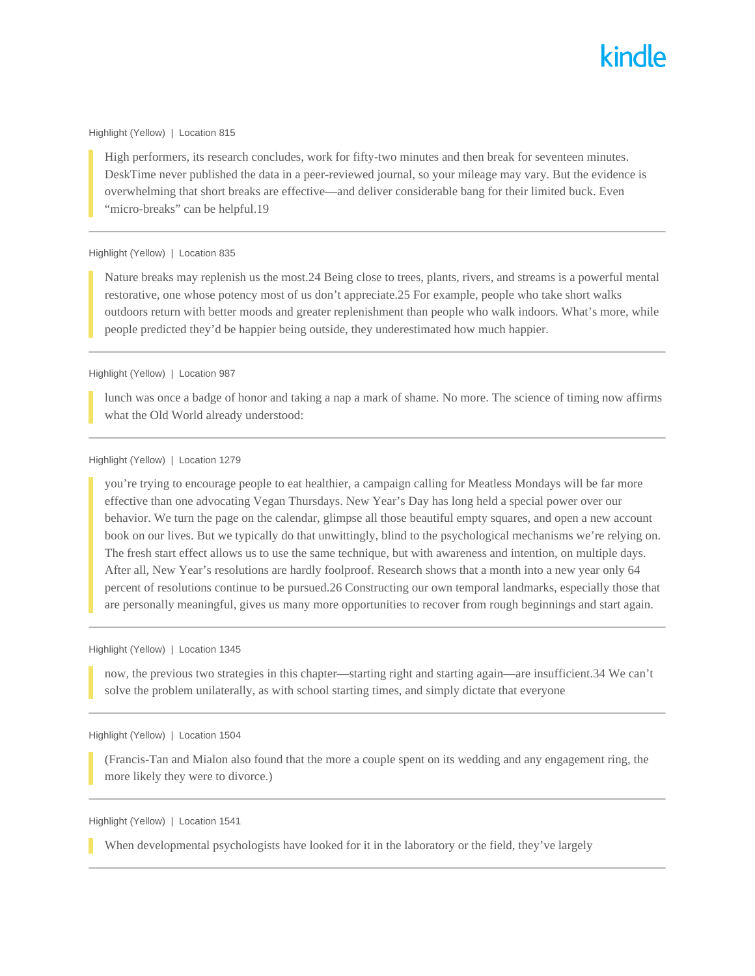#### Highlight (Yellow) | Location 815

High performers, its research concludes, work for fifty-two minutes and then break for seventeen minutes. DeskTime never published the data in a peer-reviewed journal, so your mileage may vary. But the evidence is overwhelming that short breaks are effective—and deliver considerable bang for their limited buck. Even "micro-breaks" can be helpful.19

#### Highlight (Yellow) | Location 835

Nature breaks may replenish us the most.24 Being close to trees, plants, rivers, and streams is a powerful mental restorative, one whose potency most of us don't appreciate.25 For example, people who take short walks outdoors return with better moods and greater replenishment than people who walk indoors. What's more, while people predicted they'd be happier being outside, they underestimated how much happier.

#### Highlight (Yellow) | Location 987

lunch was once a badge of honor and taking a nap a mark of shame. No more. The science of timing now affirms what the Old World already understood:

# Highlight (Yellow) | Location 1279

you're trying to encourage people to eat healthier, a campaign calling for Meatless Mondays will be far more effective than one advocating Vegan Thursdays. New Year's Day has long held a special power over our behavior. We turn the page on the calendar, glimpse all those beautiful empty squares, and open a new account book on our lives. But we typically do that unwittingly, blind to the psychological mechanisms we're relying on. The fresh start effect allows us to use the same technique, but with awareness and intention, on multiple days. After all, New Year's resolutions are hardly foolproof. Research shows that a month into a new year only 64 percent of resolutions continue to be pursued.26 Constructing our own temporal landmarks, especially those that are personally meaningful, gives us many more opportunities to recover from rough beginnings and start again.

## Highlight (Yellow) | Location 1345

now, the previous two strategies in this chapter—starting right and starting again—are insufficient.34 We can't solve the problem unilaterally, as with school starting times, and simply dictate that everyone

Highlight (Yellow) | Location 1504

(Francis-Tan and Mialon also found that the more a couple spent on its wedding and any engagement ring, the more likely they were to divorce.)

Highlight (Yellow) | Location 1541

When developmental psychologists have looked for it in the laboratory or the field, they've largely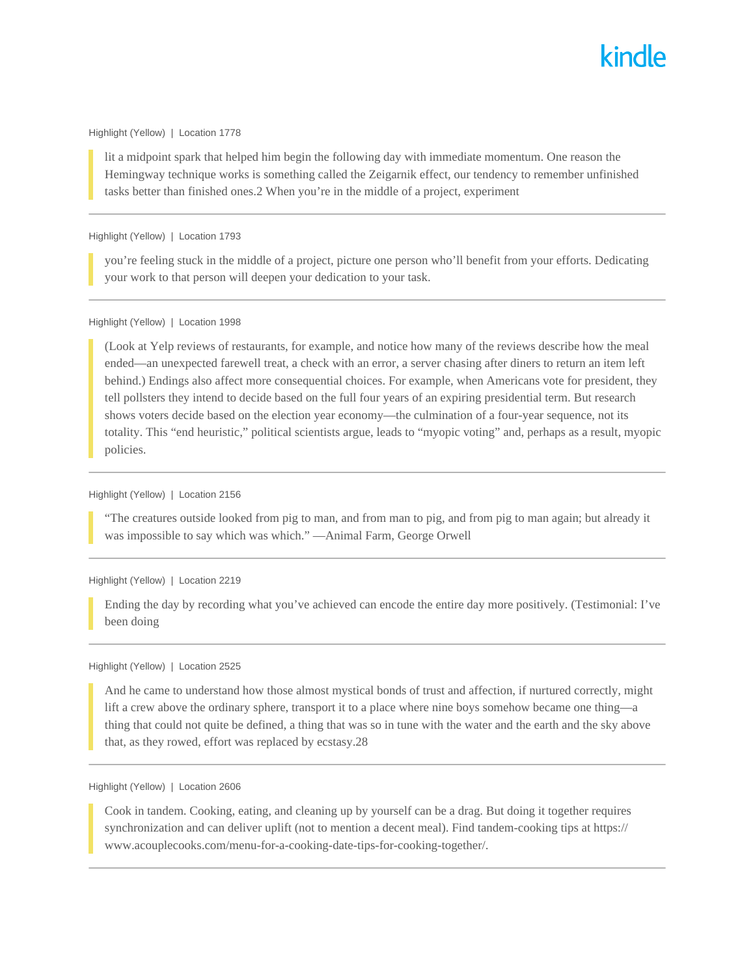#### Highlight (Yellow) | Location 1778

lit a midpoint spark that helped him begin the following day with immediate momentum. One reason the Hemingway technique works is something called the Zeigarnik effect, our tendency to remember unfinished tasks better than finished ones.2 When you're in the middle of a project, experiment

## Highlight (Yellow) | Location 1793

you're feeling stuck in the middle of a project, picture one person who'll benefit from your efforts. Dedicating your work to that person will deepen your dedication to your task.

### Highlight (Yellow) | Location 1998

(Look at Yelp reviews of restaurants, for example, and notice how many of the reviews describe how the meal ended—an unexpected farewell treat, a check with an error, a server chasing after diners to return an item left behind.) Endings also affect more consequential choices. For example, when Americans vote for president, they tell pollsters they intend to decide based on the full four years of an expiring presidential term. But research shows voters decide based on the election year economy—the culmination of a four-year sequence, not its totality. This "end heuristic," political scientists argue, leads to "myopic voting" and, perhaps as a result, myopic policies.

### Highlight (Yellow) | Location 2156

"The creatures outside looked from pig to man, and from man to pig, and from pig to man again; but already it was impossible to say which was which." —Animal Farm, George Orwell

# Highlight (Yellow) | Location 2219

Ending the day by recording what you've achieved can encode the entire day more positively. (Testimonial: I've been doing

#### Highlight (Yellow) | Location 2525

And he came to understand how those almost mystical bonds of trust and affection, if nurtured correctly, might lift a crew above the ordinary sphere, transport it to a place where nine boys somehow became one thing—a thing that could not quite be defined, a thing that was so in tune with the water and the earth and the sky above that, as they rowed, effort was replaced by ecstasy.28

Highlight (Yellow) | Location 2606

Cook in tandem. Cooking, eating, and cleaning up by yourself can be a drag. But doing it together requires synchronization and can deliver uplift (not to mention a decent meal). Find tandem-cooking tips at https:// www.acouplecooks.com/menu-for-a-cooking-date-tips-for-cooking-together/.